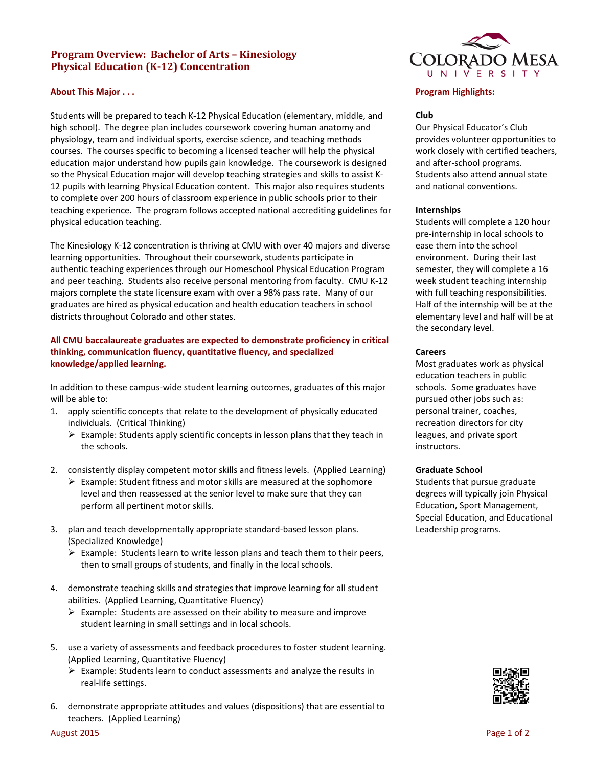# **Program Overview: Bachelor of Arts – Kinesiology Physical Education (K-12) Concentration**

### **About This Major . . .**

Students will be prepared to teach K-12 Physical Education (elementary, middle, and high school). The degree plan includes coursework covering human anatomy and physiology, team and individual sports, exercise science, and teaching methods courses. The courses specific to becoming a licensed teacher will help the physical education major understand how pupils gain knowledge. The coursework is designed so the Physical Education major will develop teaching strategies and skills to assist K-12 pupils with learning Physical Education content. This major also requires students to complete over 200 hours of classroom experience in public schools prior to their teaching experience. The program follows accepted national accrediting guidelines for physical education teaching.

The Kinesiology K-12 concentration is thriving at CMU with over 40 majors and diverse learning opportunities. Throughout their coursework, students participate in authentic teaching experiences through our Homeschool Physical Education Program and peer teaching. Students also receive personal mentoring from faculty. CMU K-12 majors complete the state licensure exam with over a 98% pass rate. Many of our graduates are hired as physical education and health education teachers in school districts throughout Colorado and other states.

## **All CMU baccalaureate graduates are expected to demonstrate proficiency in critical thinking, communication fluency, quantitative fluency, and specialized knowledge/applied learning.**

In addition to these campus-wide student learning outcomes, graduates of this major will be able to:

- 1. apply scientific concepts that relate to the development of physically educated individuals. (Critical Thinking)
	- $\triangleright$  Example: Students apply scientific concepts in lesson plans that they teach in the schools.
- 2. consistently display competent motor skills and fitness levels. (Applied Learning)
	- $\triangleright$  Example: Student fitness and motor skills are measured at the sophomore level and then reassessed at the senior level to make sure that they can perform all pertinent motor skills.
- 3. plan and teach developmentally appropriate standard-based lesson plans. (Specialized Knowledge)
	- $\triangleright$  Example: Students learn to write lesson plans and teach them to their peers, then to small groups of students, and finally in the local schools.
- 4. demonstrate teaching skills and strategies that improve learning for all student abilities. (Applied Learning, Quantitative Fluency)
	- $\triangleright$  Example: Students are assessed on their ability to measure and improve student learning in small settings and in local schools.
- 5. use a variety of assessments and feedback procedures to foster student learning. (Applied Learning, Quantitative Fluency)
	- Example: Students learn to conduct assessments and analyze the results in real-life settings.
- 6. demonstrate appropriate attitudes and values (dispositions) that are essential to teachers. (Applied Learning)



### **Program Highlights:**

#### **Club**

Our Physical Educator's Club provides volunteer opportunities to work closely with certified teachers, and after-school programs. Students also attend annual state and national conventions.

#### **Internships**

Students will complete a 120 hour pre-internship in local schools to ease them into the school environment. During their last semester, they will complete a 16 week student teaching internship with full teaching responsibilities. Half of the internship will be at the elementary level and half will be at the secondary level.

#### **Careers**

Most graduates work as physical education teachers in public schools. Some graduates have pursued other jobs such as: personal trainer, coaches, recreation directors for city leagues, and private sport instructors.

#### **Graduate School**

Students that pursue graduate degrees will typically join Physical Education, Sport Management, Special Education, and Educational Leadership programs.